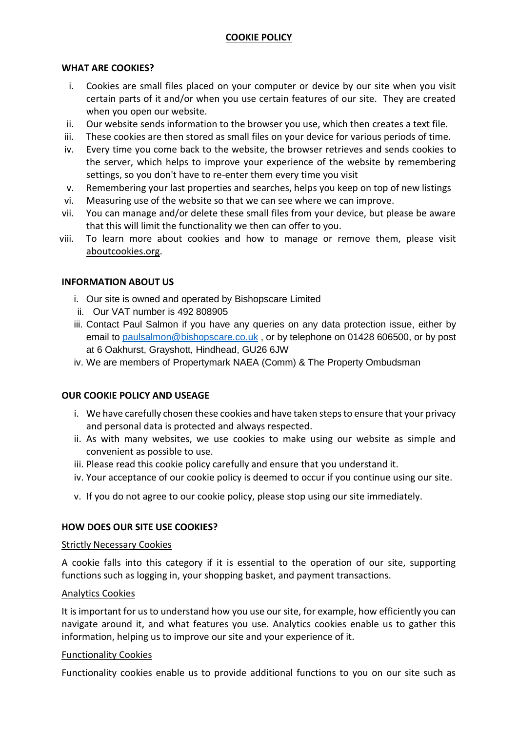# **COOKIE POLICY**

## **WHAT ARE COOKIES?**

- i. Cookies are small files placed on your computer or device by our site when you visit certain parts of it and/or when you use certain features of our site. They are created when you open our website.
- ii. Our website sends information to the browser you use, which then creates a text file.
- iii. These cookies are then stored as small files on your device for various periods of time.
- iv. Every time you come back to the website, the browser retrieves and sends cookies to the server, which helps to improve your experience of the website by remembering settings, so you don't have to re-enter them every time you visit
- v. Remembering your last properties and searches, helps you keep on top of new listings
- vi. Measuring use of the website so that we can see where we can improve.
- vii. You can manage and/or delete these small files from your device, but please be aware that this will limit the functionality we then can offer to you.
- viii. To learn more about cookies and how to manage or remove them, please visit [aboutcookies.org.](http://www.aboutcookies.org/)

# **INFORMATION ABOUT US**

- i. Our site is owned and operated by Bishopscare Limited
- ii. Our VAT number is 492 808905
- iii. Contact Paul Salmon if you have any queries on any data protection issue, either by email to [paulsalmon@bishopscare.co.uk](mailto:paulsalmon@bishopscare.co.uk), or by telephone on 01428 606500, or by post at 6 Oakhurst, Grayshott, Hindhead, GU26 6JW
- iv. We are members of Propertymark NAEA (Comm) & The Property Ombudsman

# **OUR COOKIE POLICY AND USEAGE**

- i. We have carefully chosen these cookies and have taken steps to ensure that your privacy and personal data is protected and always respected.
- ii. As with many websites, we use cookies to make using our website as simple and convenient as possible to use.
- iii. Please read this cookie policy carefully and ensure that you understand it.
- iv. Your acceptance of our cookie policy is deemed to occur if you continue using our site.
- v. If you do not agree to our cookie policy, please stop using our site immediately.

### **HOW DOES OUR SITE USE COOKIES?**

### Strictly Necessary Cookies

A cookie falls into this category if it is essential to the operation of our site, supporting functions such as logging in, your shopping basket, and payment transactions.

# Analytics Cookies

It is important for us to understand how you use our site, for example, how efficiently you can navigate around it, and what features you use. Analytics cookies enable us to gather this information, helping us to improve our site and your experience of it.

### Functionality Cookies

Functionality cookies enable us to provide additional functions to you on our site such as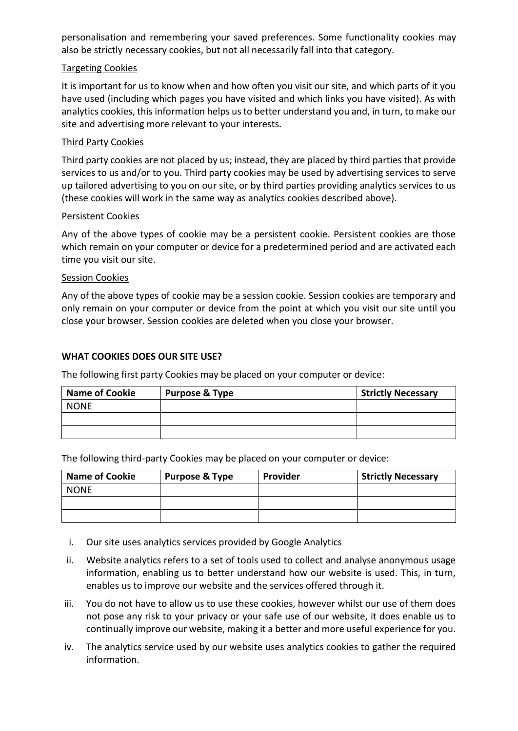personalisation and remembering your saved preferences. Some functionality cookies may also be strictly necessary cookies, but not all necessarily fall into that category.

# Targeting Cookies

It is important for us to know when and how often you visit our site, and which parts of it you have used (including which pages you have visited and which links you have visited). As with analytics cookies, this information helps us to better understand you and, in turn, to make our site and advertising more relevant to your interests.

# Third Party Cookies

Third party cookies are not placed by us; instead, they are placed by third parties that provide services to us and/or to you. Third party cookies may be used by advertising services to serve up tailored advertising to you on our site, or by third parties providing analytics services to us (these cookies will work in the same way as analytics cookies described above).

### Persistent Cookies

Any of the above types of cookie may be a persistent cookie. Persistent cookies are those which remain on your computer or device for a predetermined period and are activated each time you visit our site.

### Session Cookies

Any of the above types of cookie may be a session cookie. Session cookies are temporary and only remain on your computer or device from the point at which you visit our site until you close your browser. Session cookies are deleted when you close your browser.

# **WHAT COOKIES DOES OUR SITE USE?**

The following first party Cookies may be placed on your computer or device:

| <b>Name of Cookie</b> | <b>Purpose &amp; Type</b> | <b>Strictly Necessary</b> |
|-----------------------|---------------------------|---------------------------|
| <b>NONE</b>           |                           |                           |
|                       |                           |                           |
|                       |                           |                           |

The following third-party Cookies may be placed on your computer or device:

| <b>Name of Cookie</b> | <b>Purpose &amp; Type</b> | <b>Provider</b> | <b>Strictly Necessary</b> |
|-----------------------|---------------------------|-----------------|---------------------------|
| <b>NONE</b>           |                           |                 |                           |
|                       |                           |                 |                           |
|                       |                           |                 |                           |

- i. Our site uses analytics services provided by Google Analytics
- ii. Website analytics refers to a set of tools used to collect and analyse anonymous usage information, enabling us to better understand how our website is used. This, in turn, enables us to improve our website and the services offered through it.
- iii. You do not have to allow us to use these cookies, however whilst our use of them does not pose any risk to your privacy or your safe use of our website, it does enable us to continually improve our website, making it a better and more useful experience for you.
- iv. The analytics service used by our website uses analytics cookies to gather the required information.